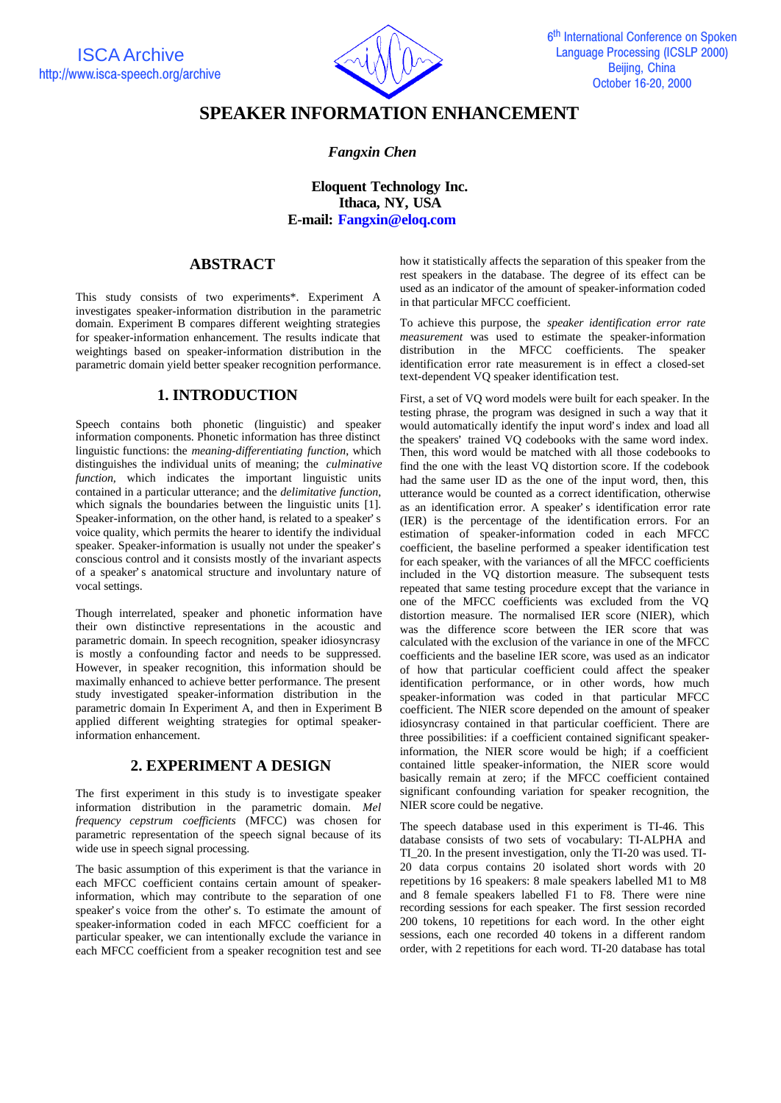ISCA Archive http://www.isca-speech.org/archive



# **SPEAKER INFORMATION ENHANCEMENT**

### *Fangxin Chen*

**Eloquent Technology Inc. Ithaca, NY, USA E-mail: Fangxin@eloq.com**

# **ABSTRACT**

This study consists of two experiments\*. Experiment A investigates speaker-information distribution in the parametric domain. Experiment B compares different weighting strategies for speaker-information enhancement. The results indicate that weightings based on speaker-information distribution in the parametric domain yield better speaker recognition performance.

## **1. INTRODUCTION**

Speech contains both phonetic (linguistic) and speaker information components. Phonetic information has three distinct linguistic functions: the *meaning-differentiating function*, which distinguishes the individual units of meaning; the *culminative function,* which indicates the important linguistic units contained in a particular utterance; and the *delimitative function*, which signals the boundaries between the linguistic units [1]. Speaker-information, on the other hand, is related to a speaker's voice quality, which permits the hearer to identify the individual speaker. Speaker-information is usually not under the speaker's conscious control and it consists mostly of the invariant aspects of a speaker's anatomical structure and involuntary nature of vocal settings.

Though interrelated, speaker and phonetic information have their own distinctive representations in the acoustic and parametric domain. In speech recognition, speaker idiosyncrasy is mostly a confounding factor and needs to be suppressed. However, in speaker recognition, this information should be maximally enhanced to achieve better performance. The present study investigated speaker-information distribution in the parametric domain In Experiment A, and then in Experiment B applied different weighting strategies for optimal speakerinformation enhancement.

# **2. EXPERIMENT A DESIGN**

The first experiment in this study is to investigate speaker information distribution in the parametric domain. *Mel frequency cepstrum coefficients* (MFCC) was chosen for parametric representation of the speech signal because of its wide use in speech signal processing.

The basic assumption of this experiment is that the variance in each MFCC coefficient contains certain amount of speakerinformation, which may contribute to the separation of one speaker's voice from the other's. To estimate the amount of speaker-information coded in each MFCC coefficient for a particular speaker, we can intentionally exclude the variance in each MFCC coefficient from a speaker recognition test and see

how it statistically affects the separation of this speaker from the rest speakers in the database. The degree of its effect can be used as an indicator of the amount of speaker-information coded in that particular MFCC coefficient.

To achieve this purpose, the *speaker identification error rate measurement* was used to estimate the speaker-information distribution in the MFCC coefficients. The speaker identification error rate measurement is in effect a closed-set text-dependent VQ speaker identification test.

First, a set of VQ word models were built for each speaker. In the testing phrase, the program was designed in such a way that it would automatically identify the input word's index and load all the speakers' trained VQ codebooks with the same word index. Then, this word would be matched with all those codebooks to find the one with the least VQ distortion score. If the codebook had the same user ID as the one of the input word, then, this utterance would be counted as a correct identification, otherwise as an identification error. A speaker's identification error rate (IER) is the percentage of the identification errors. For an estimation of speaker-information coded in each MFCC coefficient, the baseline performed a speaker identification test for each speaker, with the variances of all the MFCC coefficients included in the VQ distortion measure. The subsequent tests repeated that same testing procedure except that the variance in one of the MFCC coefficients was excluded from the VQ distortion measure. The normalised IER score (NIER), which was the difference score between the IER score that was calculated with the exclusion of the variance in one of the MFCC coefficients and the baseline IER score, was used as an indicator of how that particular coefficient could affect the speaker identification performance, or in other words, how much speaker-information was coded in that particular MFCC coefficient. The NIER score depended on the amount of speaker idiosyncrasy contained in that particular coefficient. There are three possibilities: if a coefficient contained significant speakerinformation, the NIER score would be high; if a coefficient contained little speaker-information, the NIER score would basically remain at zero; if the MFCC coefficient contained significant confounding variation for speaker recognition, the NIER score could be negative.

The speech database used in this experiment is TI-46. This database consists of two sets of vocabulary: TI-ALPHA and TI\_20. In the present investigation, only the TI-20 was used. TI-20 data corpus contains 20 isolated short words with 20 repetitions by 16 speakers: 8 male speakers labelled M1 to M8 and 8 female speakers labelled F1 to F8. There were nine recording sessions for each speaker. The first session recorded 200 tokens, 10 repetitions for each word. In the other eight sessions, each one recorded 40 tokens in a different random order, with 2 repetitions for each word. TI-20 database has total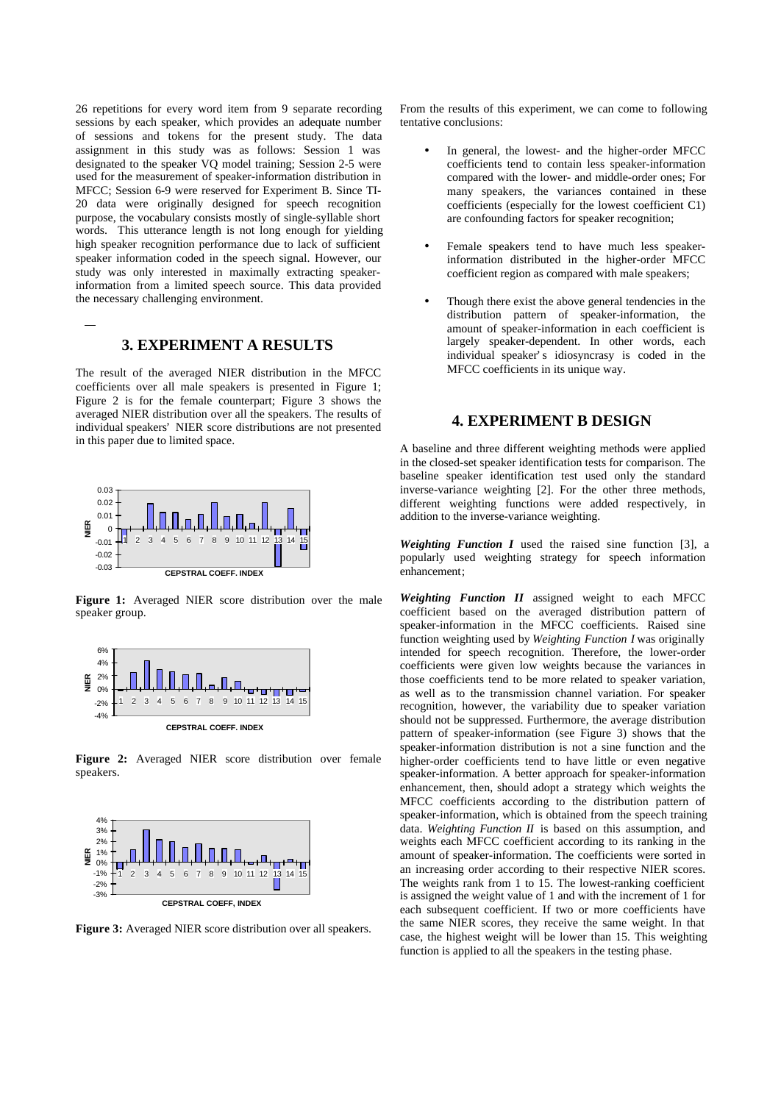26 repetitions for every word item from 9 separate recording sessions by each speaker, which provides an adequate number of sessions and tokens for the present study. The data assignment in this study was as follows: Session 1 was designated to the speaker VQ model training; Session 2-5 were used for the measurement of speaker-information distribution in MFCC; Session 6-9 were reserved for Experiment B. Since TI-20 data were originally designed for speech recognition purpose, the vocabulary consists mostly of single-syllable short words. This utterance length is not long enough for yielding high speaker recognition performance due to lack of sufficient speaker information coded in the speech signal. However, our study was only interested in maximally extracting speakerinformation from a limited speech source. This data provided the necessary challenging environment.

#### **3. EXPERIMENT A RESULTS**

The result of the averaged NIER distribution in the MFCC coefficients over all male speakers is presented in Figure 1; Figure 2 is for the female counterpart; Figure 3 shows the averaged NIER distribution over all the speakers. The results of individual speakers' NIER score distributions are not presented in this paper due to limited space.



**Figure 1:** Averaged NIER score distribution over the male speaker group.



**Figure 2:** Averaged NIER score distribution over female speakers.



**Figure 3:** Averaged NIER score distribution over all speakers.

From the results of this experiment, we can come to following tentative conclusions:

- In general, the lowest- and the higher-order MFCC coefficients tend to contain less speaker-information compared with the lower- and middle-order ones; For many speakers, the variances contained in these coefficients (especially for the lowest coefficient C1) are confounding factors for speaker recognition;
- Female speakers tend to have much less speakerinformation distributed in the higher-order MFCC coefficient region as compared with male speakers;
- Though there exist the above general tendencies in the distribution pattern of speaker-information, the amount of speaker-information in each coefficient is largely speaker-dependent. In other words, each individual speaker's idiosyncrasy is coded in the MFCC coefficients in its unique way.

# **4. EXPERIMENT B DESIGN**

A baseline and three different weighting methods were applied in the closed-set speaker identification tests for comparison. The baseline speaker identification test used only the standard inverse-variance weighting [2]. For the other three methods, different weighting functions were added respectively, in addition to the inverse-variance weighting.

*Weighting Function I* used the raised sine function [3], a popularly used weighting strategy for speech information enhancement;

*Weighting Function II* assigned weight to each MFCC coefficient based on the averaged distribution pattern of speaker-information in the MFCC coefficients. Raised sine function weighting used by *Weighting Function I* was originally intended for speech recognition. Therefore, the lower-order coefficients were given low weights because the variances in those coefficients tend to be more related to speaker variation, as well as to the transmission channel variation. For speaker recognition, however, the variability due to speaker variation should not be suppressed. Furthermore, the average distribution pattern of speaker-information (see Figure 3) shows that the speaker-information distribution is not a sine function and the higher-order coefficients tend to have little or even negative speaker-information. A better approach for speaker-information enhancement, then, should adopt a strategy which weights the MFCC coefficients according to the distribution pattern of speaker-information, which is obtained from the speech training data. *Weighting Function II* is based on this assumption, and weights each MFCC coefficient according to its ranking in the amount of speaker-information. The coefficients were sorted in an increasing order according to their respective NIER scores. The weights rank from 1 to 15. The lowest-ranking coefficient is assigned the weight value of 1 and with the increment of 1 for each subsequent coefficient. If two or more coefficients have the same NIER scores, they receive the same weight. In that case, the highest weight will be lower than 15. This weighting function is applied to all the speakers in the testing phase.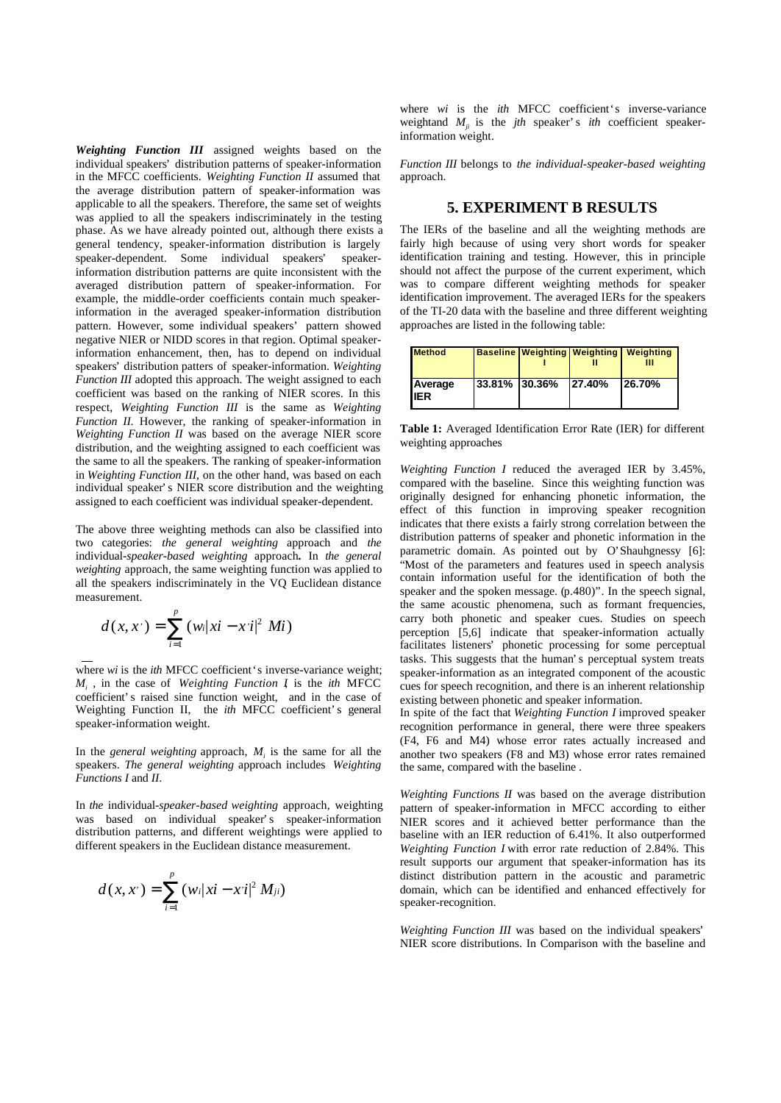*Weighting Function III* assigned weights based on the individual speakers' distribution patterns of speaker-information in the MFCC coefficients. *Weighting Function II* assumed that the average distribution pattern of speaker-information was applicable to all the speakers. Therefore, the same set of weights was applied to all the speakers indiscriminately in the testing phase. As we have already pointed out, although there exists a general tendency, speaker-information distribution is largely speaker-dependent. Some individual speakers' information distribution patterns are quite inconsistent with the averaged distribution pattern of speaker-information. For example, the middle-order coefficients contain much speakerinformation in the averaged speaker-information distribution pattern. However, some individual speakers' pattern showed negative NIER or NIDD scores in that region. Optimal speakerinformation enhancement, then, has to depend on individual speakers' distribution patters of speaker-information. *Weighting Function III* adopted this approach. The weight assigned to each coefficient was based on the ranking of NIER scores. In this respect, *Weighting Function III* is the same as *Weighting Function II*. However, the ranking of speaker-information in *Weighting Function II* was based on the average NIER score distribution, and the weighting assigned to each coefficient was the same to all the speakers. The ranking of speaker-information in *Weighting Function III*, on the other hand, was based on each individual speaker's NIER score distribution and the weighting assigned to each coefficient was individual speaker-dependent.

The above three weighting methods can also be classified into two categories: *the general weighting* approach and *the* individual-*speaker-based weighting* approach*.* In *the general weighting* approach, the same weighting function was applied to all the speakers indiscriminately in the VQ Euclidean distance measurement.

$$
d(x, x^{\cdot}) = \sum_{i=1}^{p} (w_i | xi - x^{\cdot} i |^2 M i)
$$

where *wi* is the *ith* MFCC coefficient's inverse-variance weight; *Mi* , in the case of *Weighting Function I*, is the *ith* MFCC coefficient's raised sine function weight, and in the case of Weighting Function II, the *ith* MFCC coefficient's general speaker-information weight.

In the *general weighting* approach, *M<sup>i</sup>* is the same for all the speakers. *The general weighting* approach includes *Weighting Functions I* and *II*.

In *the* individual-*speaker-based weighting* approach, weighting was based on individual speaker's speaker-information distribution patterns, and different weightings were applied to different speakers in the Euclidean distance measurement.

$$
d(x, x') = \sum_{i=1}^{p} (w_i |xi - x'i|^2 M_{ji})
$$

where *wi* is the *ith* MFCC coefficient's inverse-variance weightand  $M_{ii}$  is the *jth* speaker's *ith* coefficient speakerinformation weight.

*Function III* belongs to *the individual-speaker-based weighting* approach.

### **5. EXPERIMENT B RESULTS**

The IERs of the baseline and all the weighting methods are fairly high because of using very short words for speaker identification training and testing. However, this in principle should not affect the purpose of the current experiment, which was to compare different weighting methods for speaker identification improvement. The averaged IERs for the speakers of the TI-20 data with the baseline and three different weighting approaches are listed in the following table:

| <b>Method</b>   |                |               | <b>Baseline Weighting Weighting Weighting</b> |
|-----------------|----------------|---------------|-----------------------------------------------|
| Average<br>IIER | 33.81%  30.36% | <b>27.40%</b> | 126.70%                                       |

**Table 1:** Averaged Identification Error Rate (IER) for different weighting approaches

*Weighting Function I* reduced the averaged IER by 3.45%, compared with the baseline. Since this weighting function was originally designed for enhancing phonetic information, the effect of this function in improving speaker recognition indicates that there exists a fairly strong correlation between the distribution patterns of speaker and phonetic information in the parametric domain. As pointed out by O'Shauhgnessy [6]: "Most of the parameters and features used in speech analysis contain information useful for the identification of both the speaker and the spoken message. (p.480)". In the speech signal, the same acoustic phenomena, such as formant frequencies, carry both phonetic and speaker cues. Studies on speech perception [5,6] indicate that speaker-information actually facilitates listeners' phonetic processing for some perceptual tasks. This suggests that the human's perceptual system treats speaker-information as an integrated component of the acoustic cues for speech recognition, and there is an inherent relationship existing between phonetic and speaker information.

In spite of the fact that *Weighting Function I* improved speaker recognition performance in general, there were three speakers (F4, F6 and M4) whose error rates actually increased and another two speakers (F8 and M3) whose error rates remained the same, compared with the baseline .

*Weighting Functions II* was based on the average distribution pattern of speaker-information in MFCC according to either NIER scores and it achieved better performance than the baseline with an IER reduction of 6.41%. It also outperformed *Weighting Function I* with error rate reduction of 2.84%. This result supports our argument that speaker-information has its distinct distribution pattern in the acoustic and parametric domain, which can be identified and enhanced effectively for speaker-recognition.

*Weighting Function III* was based on the individual speakers' NIER score distributions. In Comparison with the baseline and